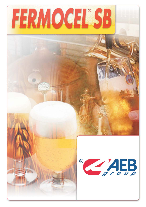